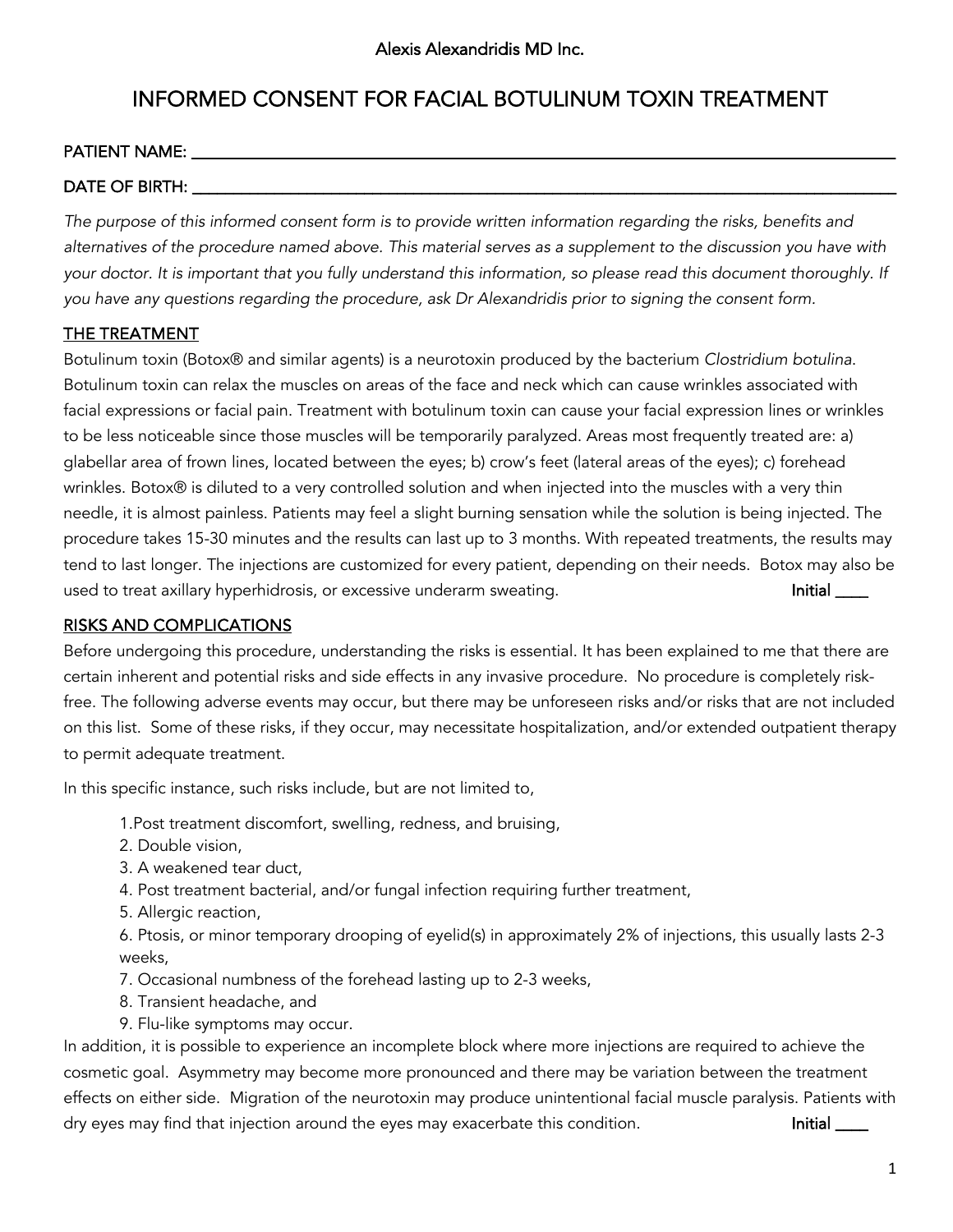# INFORMED CONSENT FOR FACIAL BOTULINUM TOXIN TREATMENT

### PATIENT NAME:

## DATE OF BIRTH:

*The purpose of this informed consent form is to provide written information regarding the risks, benefits and alternatives of the procedure named above. This material serves as a supplement to the discussion you have with your doctor. It is important that you fully understand this information, so please read this document thoroughly. If you have any questions regarding the procedure, ask Dr Alexandridis prior to signing the consent form.*

## THE TREATMENT

Botulinum toxin (Botox® and similar agents) is a neurotoxin produced by the bacterium *Clostridium botulina*. Botulinum toxin can relax the muscles on areas of the face and neck which can cause wrinkles associated with facial expressions or facial pain. Treatment with botulinum toxin can cause your facial expression lines or wrinkles to be less noticeable since those muscles will be temporarily paralyzed. Areas most frequently treated are: a) glabellar area of frown lines, located between the eyes; b) crow's feet (lateral areas of the eyes); c) forehead wrinkles. Botox® is diluted to a very controlled solution and when injected into the muscles with a very thin needle, it is almost painless. Patients may feel a slight burning sensation while the solution is being injected. The procedure takes 15-30 minutes and the results can last up to 3 months. With repeated treatments, the results may tend to last longer. The injections are customized for every patient, depending on their needs. Botox may also be used to treat axillary hyperhidrosis, or excessive underarm sweating. The same state of the limitial sum of the

#### RISKS AND COMPLICATIONS

Before undergoing this procedure, understanding the risks is essential. It has been explained to me that there are certain inherent and potential risks and side effects in any invasive procedure. No procedure is completely riskfree. The following adverse events may occur, but there may be unforeseen risks and/or risks that are not included on this list. Some of these risks, if they occur, may necessitate hospitalization, and/or extended outpatient therapy to permit adequate treatment.

In this specific instance, such risks include, but are not limited to,

1.Post treatment discomfort, swelling, redness, and bruising,

- 2. Double vision,
- 3. A weakened tear duct,
- 4. Post treatment bacterial, and/or fungal infection requiring further treatment,
- 5. Allergic reaction,

6. Ptosis, or minor temporary drooping of eyelid(s) in approximately 2% of injections, this usually lasts 2-3 weeks,

- 7. Occasional numbness of the forehead lasting up to 2-3 weeks,
- 8. Transient headache, and
- 9. Flu-like symptoms may occur.

In addition, it is possible to experience an incomplete block where more injections are required to achieve the cosmetic goal. Asymmetry may become more pronounced and there may be variation between the treatment effects on either side. Migration of the neurotoxin may produce unintentional facial muscle paralysis. Patients with dry eyes may find that injection around the eyes may exacerbate this condition. **Initial and Initial Accordition**